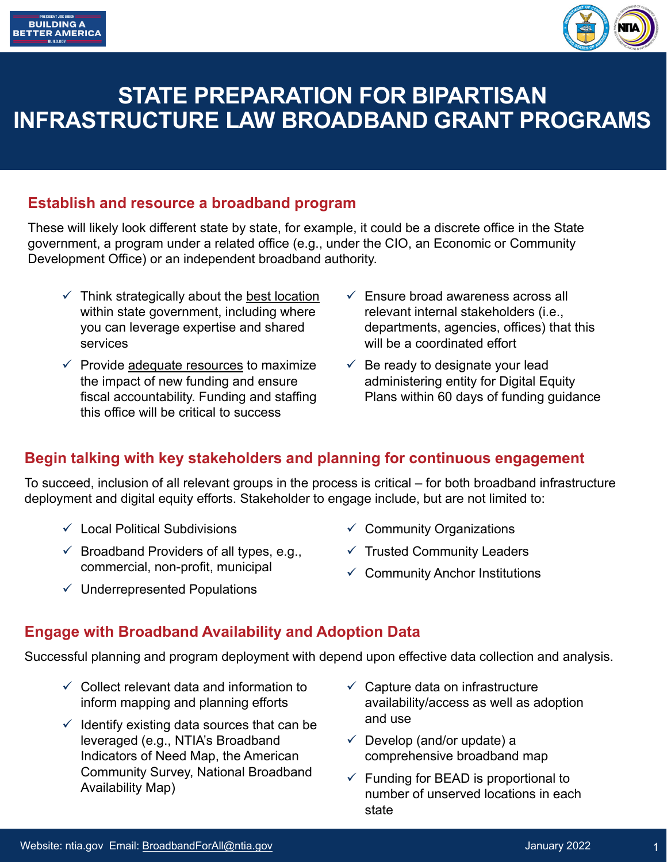



# **STATE PREPARATION FOR BIPARTISAN INFRASTRUCTURE LAW BROADBAND GRANT PROGRAMS**

#### **Establish and resource a broadband program**

These will likely look different state by state, for example, it could be a discrete office in the State government, a program under a related office (e.g., under the CIO, an Economic or Community Development Office) or an independent broadband authority.

- $\checkmark$  Think strategically about the best location within state government, including where you can leverage expertise and shared services
- $\checkmark$  Provide adequate resources to maximize the impact of new funding and ensure fiscal accountability. Funding and staffing this office will be critical to success
- $\checkmark$  Fnsure broad awareness across all relevant internal stakeholders (i.e., departments, agencies, offices) that this will be a coordinated effort
- $\checkmark$  Be ready to designate your lead administering entity for Digital Equity Plans within 60 days of funding guidance

## **Begin talking with key stakeholders and planning for continuous engagement**

To succeed, inclusion of all relevant groups in the process is critical – for both broadband infrastructure deployment and digital equity efforts. Stakeholder to engage include, but are not limited to:

- $\checkmark$  Local Political Subdivisions
- $\checkmark$  Broadband Providers of all types, e.g., commercial, non-profit, municipal
- $\checkmark$  Underrepresented Populations
- $\checkmark$  Community Organizations
- $\checkmark$  Trusted Community Leaders
- $\checkmark$  Community Anchor Institutions

#### **Engage with Broadband Availability and Adoption Data**

Successful planning and program deployment with depend upon effective data collection and analysis.

- $\checkmark$  Collect relevant data and information to inform mapping and planning efforts
- $\checkmark$  Identify existing data sources that can be leveraged (e.g., NTIA's Broadband Indicators of Need Map, the American Community Survey, National Broadband Availability Map)
- $\checkmark$  Capture data on infrastructure availability/access as well as adoption and use
- $\checkmark$  Develop (and/or update) a comprehensive broadband map
- $\checkmark$  Funding for BEAD is proportional to number of unserved locations in each state